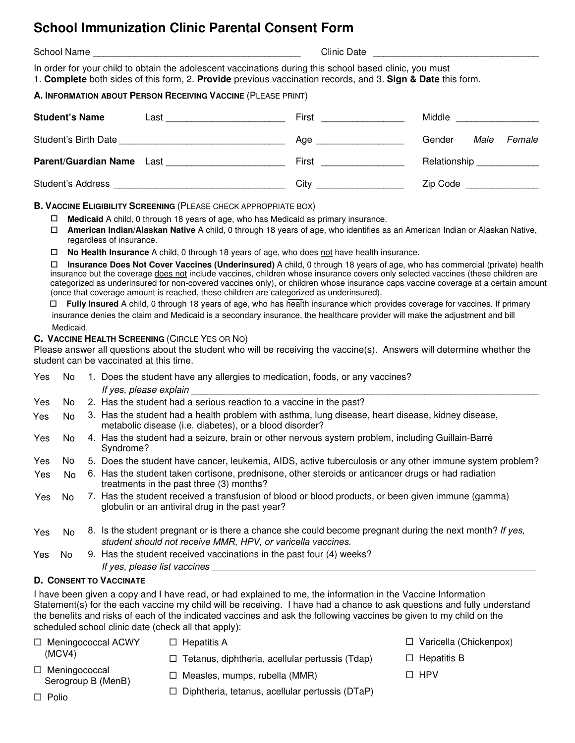# **School Immunization Clinic Parental Consent Form**

School Name \_\_\_\_\_\_\_\_\_\_\_\_\_\_\_\_\_\_\_\_\_\_\_\_\_\_\_\_\_\_\_\_\_\_\_\_\_\_\_\_ Clinic Date \_\_\_\_\_\_\_\_\_\_\_\_\_\_\_\_\_\_\_\_\_\_\_\_\_\_\_\_\_\_\_\_ In order for your child to obtain the adolescent vaccinations during this school based clinic, you must 1. **Complete** both sides of this form, 2. **Provide** previous vaccination records, and 3. **Sign & Date** this form.

## **A. INFORMATION ABOUT PERSON RECEIVING VACCINE** (PLEASE PRINT)

| <b>Student's Name</b>            | Last | First | Middle                   |  |  |
|----------------------------------|------|-------|--------------------------|--|--|
| Student's Birth Date             |      | Age   | Male<br>Female<br>Gender |  |  |
| <b>Parent/Guardian Name</b> Last |      | First | Relationship             |  |  |
| <b>Student's Address</b>         |      | City  | Zip Code                 |  |  |

### **B. VACCINE ELIGIBILITY SCREENING** (PLEASE CHECK APPROPRIATE BOX)

- **Medicaid** A child, 0 through 18 years of age, who has Medicaid as primary insurance.
- **American Indian/Alaskan Native** A child, 0 through 18 years of age, who identifies as an American Indian or Alaskan Native, regardless of insurance.
- **No Health Insurance** A child, 0 through 18 years of age, who does not have health insurance.

 **Insurance Does Not Cover Vaccines (Underinsured)** A child, 0 through 18 years of age, who has commercial (private) health insurance but the coverage does not include vaccines, children whose insurance covers only selected vaccines (these children are categorized as underinsured for non-covered vaccines only), or children whose insurance caps vaccine coverage at a certain amount (once that coverage amount is reached, these children are categorized as underinsured).

 **Fully Insured** A child, 0 through 18 years of age, who has health insurance which provides coverage for vaccines. If primary insurance denies the claim and Medicaid is a secondary insurance, the healthcare provider will make the adjustment and bill Medicaid.

### **C. VACCINE HEALTH SCREENING** (CIRCLE YES OR NO)

Please answer all questions about the student who will be receiving the vaccine(s). Answers will determine whether the student can be vaccinated at this time.

| Yes | No.  | 1. Does the student have any allergies to medication, foods, or any vaccines?<br>If yes, please explain                                                                 |
|-----|------|-------------------------------------------------------------------------------------------------------------------------------------------------------------------------|
| Yes | No l | 2. Has the student had a serious reaction to a vaccine in the past?                                                                                                     |
| Yes | No.  | 3. Has the student had a health problem with asthma, lung disease, heart disease, kidney disease,<br>metabolic disease (i.e. diabetes), or a blood disorder?            |
| Yes | No.  | 4. Has the student had a seizure, brain or other nervous system problem, including Guillain-Barré<br>Syndrome?                                                          |
| Yes | No.  | 5. Does the student have cancer, leukemia, AIDS, active tuberculosis or any other immune system problem?                                                                |
| Yes | No.  | 6. Has the student taken cortisone, prednisone, other steroids or anticancer drugs or had radiation<br>treatments in the past three (3) months?                         |
| Yes | No.  | 7. Has the student received a transfusion of blood or blood products, or been given immune (gamma)<br>globulin or an antiviral drug in the past year?                   |
| Yes | No.  | 8. Is the student pregnant or is there a chance she could become pregnant during the next month? If yes,<br>student should not receive MMR, HPV, or varicella vaccines. |
| Yes | No.  | 9. Has the student received vaccinations in the past four (4) weeks?<br>If yes, please list vaccines                                                                    |

### **D. CONSENT TO VACCINATE**

I have been given a copy and I have read, or had explained to me, the information in the Vaccine Information Statement(s) for the each vaccine my child will be receiving. I have had a chance to ask questions and fully understand the benefits and risks of each of the indicated vaccines and ask the following vaccines be given to my child on the scheduled school clinic date (check all that apply):

- □ Meningococcal ACWY (MCV4) □ Meningococcal Serogroup B (MenB)  $\square$  Hepatitis A □ Tetanus, diphtheria, acellular pertussis (Tdap) □ Measles, mumps, rubella (MMR)
- □ Varicella (Chickenpox)
- □ Hepatitis B

 $\square$  HPV

- Polio

- 
- □ Diphtheria, tetanus, acellular pertussis (DTaP)